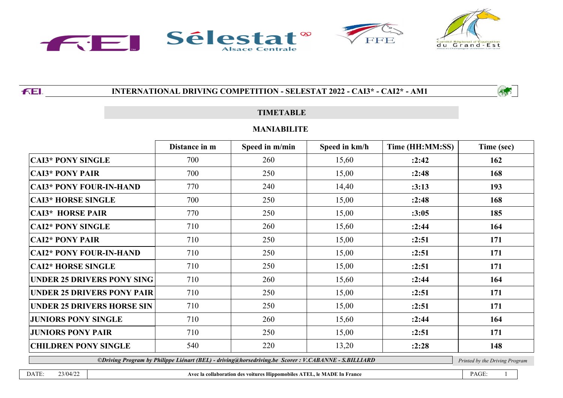

FEI.

# **INTERNATIONAL DRIVING COMPETITION - SELESTAT 2022 - CAI3\* - CAI2\* - AM1**

### **TIMETABLE**

#### **MANIABILITE**

|                                   | Distance in m | Speed in m/min | Speed in km/h | Time (HH:MM:SS) | Time (sec) |
|-----------------------------------|---------------|----------------|---------------|-----------------|------------|
| <b>CAI3* PONY SINGLE</b>          | 700           | 260            | 15,60         | :2:42           | 162        |
| <b>CAI3* PONY PAIR</b>            | 700           | 250            | 15,00         | :2:48           | 168        |
| <b>CAI3* PONY FOUR-IN-HAND</b>    | 770           | 240            | 14,40         | :3:13           | 193        |
| <b>CAI3* HORSE SINGLE</b>         | 700           | 250            | 15,00         | :2:48           | 168        |
| <b>CAI3* HORSE PAIR</b>           | 770           | 250            | 15,00         | :3:05           | 185        |
| <b>CAI2* PONY SINGLE</b>          | 710           | 260            | 15,60         | :2:44           | 164        |
| <b>CAI2* PONY PAIR</b>            | 710           | 250            | 15,00         | :2:51           | 171        |
| <b>CAI2* PONY FOUR-IN-HAND</b>    | 710           | 250            | 15,00         | :2:51           | 171        |
| <b>CAI2* HORSE SINGLE</b>         | 710           | 250            | 15,00         | :2:51           | 171        |
| <b>UNDER 25 DRIVERS PONY SING</b> | 710           | 260            | 15,60         | :2:44           | 164        |
| UNDER 25 DRIVERS PONY PAIR        | 710           | 250            | 15,00         | :2:51           | 171        |
| <b>UNDER 25 DRIVERS HORSE SIN</b> | 710           | 250            | 15,00         | :2:51           | 171        |
| <b>JUNIORS PONY SINGLE</b>        | 710           | 260            | 15,60         | :2:44           | 164        |
| <b>JUNIORS PONY PAIR</b>          | 710           | 250            | 15,00         | :2:51           | 171        |
| <b>CHILDREN PONY SINGLE</b>       | 540           | 220            | 13,20         | :2:28           | 148        |

*©Driving Program by Philippe Liénart (BEL) - driving@horsedriving.be Scorer : V.CABANNE - S.BILLIARD Printed by the Driving Program*

ASS

DATE: 23/04/22 **Avec la collaboration des voitures Hippomobiles ATEL, le MADE In France** PAGE: 1